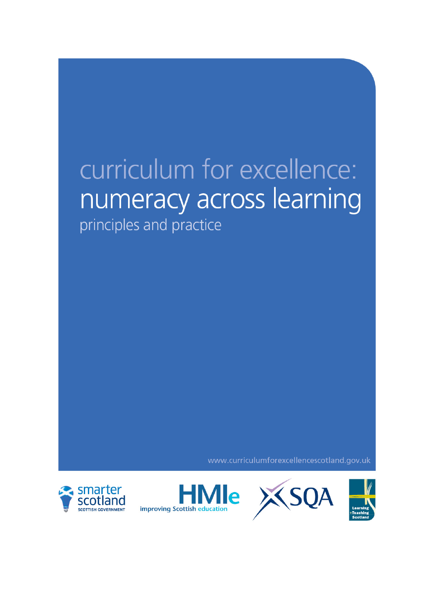# curriculum for excellence: numeracy across learning

principles and practice

www.curriculumforexcellencescotland.gov.uk





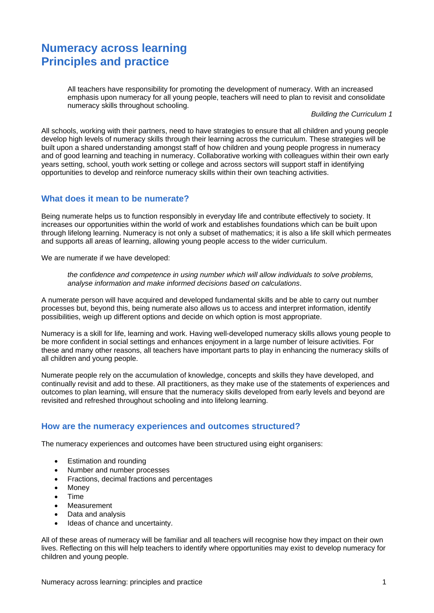# **Numeracy across learning Principles and practice**

All teachers have responsibility for promoting the development of numeracy. With an increased emphasis upon numeracy for all young people, teachers will need to plan to revisit and consolidate numeracy skills throughout schooling.

*Building the Curriculum 1*

All schools, working with their partners, need to have strategies to ensure that all children and young people develop high levels of numeracy skills through their learning across the curriculum. These strategies will be built upon a shared understanding amongst staff of how children and young people progress in numeracy and of good learning and teaching in numeracy. Collaborative working with colleagues within their own early years setting, school, youth work setting or college and across sectors will support staff in identifying opportunities to develop and reinforce numeracy skills within their own teaching activities.

#### **What does it mean to be numerate?**

Being numerate helps us to function responsibly in everyday life and contribute effectively to society. It increases our opportunities within the world of work and establishes foundations which can be built upon through lifelong learning. Numeracy is not only a subset of mathematics; it is also a life skill which permeates and supports all areas of learning, allowing young people access to the wider curriculum.

We are numerate if we have developed:

*the confidence and competence in using number which will allow individuals to solve problems, analyse information and make informed decisions based on calculations*.

A numerate person will have acquired and developed fundamental skills and be able to carry out number processes but, beyond this, being numerate also allows us to access and interpret information, identify possibilities, weigh up different options and decide on which option is most appropriate.

Numeracy is a skill for life, learning and work. Having well-developed numeracy skills allows young people to be more confident in social settings and enhances enjoyment in a large number of leisure activities. For these and many other reasons, all teachers have important parts to play in enhancing the numeracy skills of all children and young people.

Numerate people rely on the accumulation of knowledge, concepts and skills they have developed, and continually revisit and add to these. All practitioners, as they make use of the statements of experiences and outcomes to plan learning, will ensure that the numeracy skills developed from early levels and beyond are revisited and refreshed throughout schooling and into lifelong learning.

#### **How are the numeracy experiences and outcomes structured?**

The numeracy experiences and outcomes have been structured using eight organisers:

- Estimation and rounding
- Number and number processes
- Fractions, decimal fractions and percentages
- Money
- Time
- **Measurement**
- Data and analysis
- Ideas of chance and uncertainty.

All of these areas of numeracy will be familiar and all teachers will recognise how they impact on their own lives. Reflecting on this will help teachers to identify where opportunities may exist to develop numeracy for children and young people.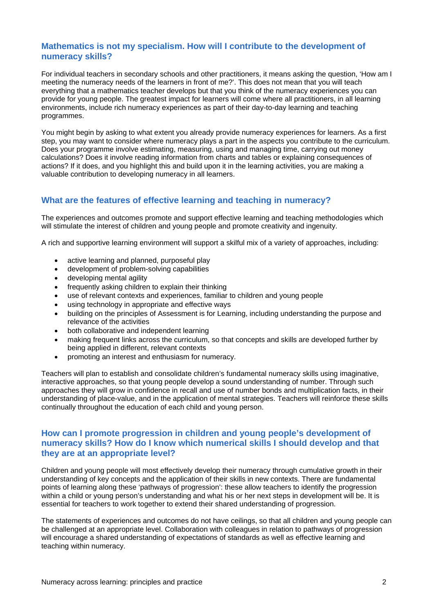### **Mathematics is not my specialism. How will I contribute to the development of numeracy skills?**

For individual teachers in secondary schools and other practitioners, it means asking the question, 'How am I meeting the numeracy needs of the learners in front of me?'. This does not mean that you will teach everything that a mathematics teacher develops but that you think of the numeracy experiences you can provide for young people. The greatest impact for learners will come where all practitioners, in all learning environments, include rich numeracy experiences as part of their day-to-day learning and teaching programmes.

You might begin by asking to what extent you already provide numeracy experiences for learners. As a first step, you may want to consider where numeracy plays a part in the aspects you contribute to the curriculum. Does your programme involve estimating, measuring, using and managing time, carrying out money calculations? Does it involve reading information from charts and tables or explaining consequences of actions? If it does, and you highlight this and build upon it in the learning activities, you are making a valuable contribution to developing numeracy in all learners.

## **What are the features of effective learning and teaching in numeracy?**

The experiences and outcomes promote and support effective learning and teaching methodologies which will stimulate the interest of children and young people and promote creativity and ingenuity.

A rich and supportive learning environment will support a skilful mix of a variety of approaches, including:

- active learning and planned, purposeful play
- development of problem-solving capabilities
- developing mental agility
- frequently asking children to explain their thinking
- use of relevant contexts and experiences, familiar to children and young people
- using technology in appropriate and effective ways
- building on the principles of Assessment is for Learning, including understanding the purpose and relevance of the activities
- both collaborative and independent learning
- making frequent links across the curriculum, so that concepts and skills are developed further by being applied in different, relevant contexts
- promoting an interest and enthusiasm for numeracy.

Teachers will plan to establish and consolidate children's fundamental numeracy skills using imaginative, interactive approaches, so that young people develop a sound understanding of number. Through such approaches they will grow in confidence in recall and use of number bonds and multiplication facts, in their understanding of place-value, and in the application of mental strategies. Teachers will reinforce these skills continually throughout the education of each child and young person.

### **How can I promote progression in children and young people's development of numeracy skills? How do I know which numerical skills I should develop and that they are at an appropriate level?**

Children and young people will most effectively develop their numeracy through cumulative growth in their understanding of key concepts and the application of their skills in new contexts. There are fundamental points of learning along these 'pathways of progression': these allow teachers to identify the progression within a child or young person's understanding and what his or her next steps in development will be. It is essential for teachers to work together to extend their shared understanding of progression.

The statements of experiences and outcomes do not have ceilings, so that all children and young people can be challenged at an appropriate level. Collaboration with colleagues in relation to pathways of progression will encourage a shared understanding of expectations of standards as well as effective learning and teaching within numeracy.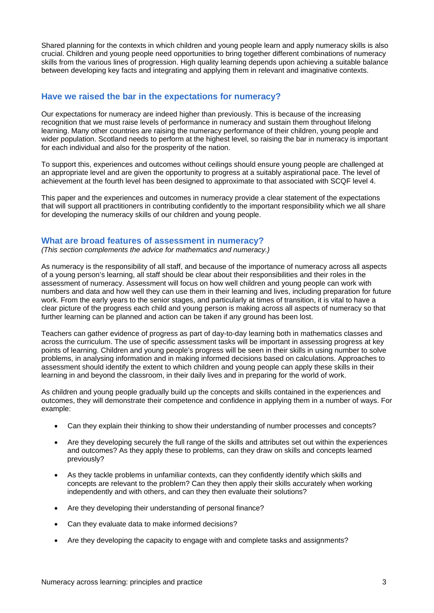Shared planning for the contexts in which children and young people learn and apply numeracy skills is also crucial. Children and young people need opportunities to bring together different combinations of numeracy skills from the various lines of progression. High quality learning depends upon achieving a suitable balance between developing key facts and integrating and applying them in relevant and imaginative contexts.

### **Have we raised the bar in the expectations for numeracy?**

Our expectations for numeracy are indeed higher than previously. This is because of the increasing recognition that we must raise levels of performance in numeracy and sustain them throughout lifelong learning. Many other countries are raising the numeracy performance of their children, young people and wider population. Scotland needs to perform at the highest level, so raising the bar in numeracy is important for each individual and also for the prosperity of the nation.

To support this, experiences and outcomes without ceilings should ensure young people are challenged at an appropriate level and are given the opportunity to progress at a suitably aspirational pace. The level of achievement at the fourth level has been designed to approximate to that associated with SCQF level 4.

This paper and the experiences and outcomes in numeracy provide a clear statement of the expectations that will support all practitioners in contributing confidently to the important responsibility which we all share for developing the numeracy skills of our children and young people.

#### **What are broad features of assessment in numeracy?**

*(This section complements the advice for mathematics and numeracy.)* 

As numeracy is the responsibility of all staff, and because of the importance of numeracy across all aspects of a young person's learning, all staff should be clear about their responsibilities and their roles in the assessment of numeracy. Assessment will focus on how well children and young people can work with numbers and data and how well they can use them in their learning and lives, including preparation for future work. From the early years to the senior stages, and particularly at times of transition, it is vital to have a clear picture of the progress each child and young person is making across all aspects of numeracy so that further learning can be planned and action can be taken if any ground has been lost.

Teachers can gather evidence of progress as part of day-to-day learning both in mathematics classes and across the curriculum. The use of specific assessment tasks will be important in assessing progress at key points of learning. Children and young people's progress will be seen in their skills in using number to solve problems, in analysing information and in making informed decisions based on calculations. Approaches to assessment should identify the extent to which children and young people can apply these skills in their learning in and beyond the classroom, in their daily lives and in preparing for the world of work.

As children and young people gradually build up the concepts and skills contained in the experiences and outcomes, they will demonstrate their competence and confidence in applying them in a number of ways. For example:

- Can they explain their thinking to show their understanding of number processes and concepts?
- Are they developing securely the full range of the skills and attributes set out within the experiences and outcomes? As they apply these to problems, can they draw on skills and concepts learned previously?
- As they tackle problems in unfamiliar contexts, can they confidently identify which skills and concepts are relevant to the problem? Can they then apply their skills accurately when working independently and with others, and can they then evaluate their solutions?
- Are they developing their understanding of personal finance?
- Can they evaluate data to make informed decisions?
- Are they developing the capacity to engage with and complete tasks and assignments?